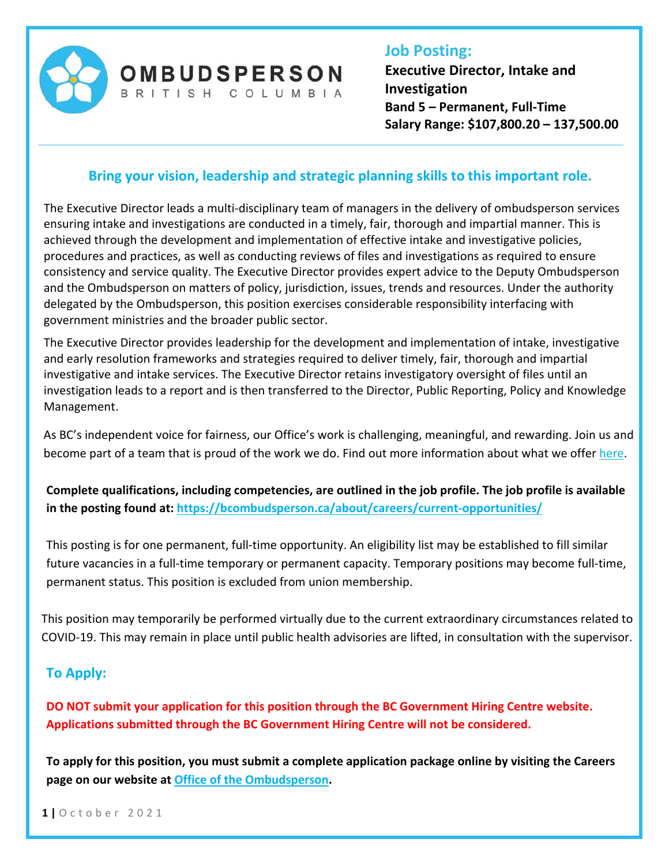

# **Job Posting:**

**Executive Director, Intake and Investigation Band 5 – Permanent, Full‐Time Salary Range: \$107,800.20 – 137,500.00** 

## **Bring your vision, leadership and strategic planning skills to this important role.**

**OMBUDSPERSON** BRITISH COLUMBIA

The Executive Director leads a multi‐disciplinary team of managers in the delivery of ombudsperson services ensuring intake and investigations are conducted in a timely, fair, thorough and impartial manner. This is achieved through the development and implementation of effective intake and investigative policies, procedures and practices, as well as conducting reviews of files and investigations as required to ensure consistency and service quality. The Executive Director provides expert advice to the Deputy Ombudsperson and the Ombudsperson on matters of policy, jurisdiction, issues, trends and resources. Under the authority delegated by the Ombudsperson, this position exercises considerable responsibility interfacing with government ministries and the broader public sector.

The Executive Director provides leadership for the development and implementation of intake, investigative and early resolution frameworks and strategies required to deliver timely, fair, thorough and impartial investigative and intake services. The Executive Director retains investigatory oversight of files until an investigation leads to a report and is then transferred to the Director, Public Reporting, Policy and Knowledge Management.

As BC's independent voice for fairness, our Office's work is challenging, meaningful, and rewarding. Join us and become part of a team that is proud of the work we do. Find out more information about what we offer here.

**Complete qualifications, including competencies, are outlined in the job profile. The job profile is available in the posting found at: https://bcombudsperson.ca/about/careers/current‐opportunities/**

This posting is for one permanent, full-time opportunity. An eligibility list may be established to fill similar future vacancies in a full‐time temporary or permanent capacity. Temporary positions may become full‐time, permanent status. This position is excluded from union membership.

This position may temporarily be performed virtually due to the current extraordinary circumstances related to COVID‐19. This may remain in place until public health advisories are lifted, in consultation with the supervisor.

### **To Apply:**

**DO NOT submit your application for this position through the BC Government Hiring Centre website. Applications submitted through the BC Government Hiring Centre will not be considered.** 

**To apply for this position, you must submit a complete application package online by visiting the Careers page on our website at Office of the Ombudsperson.** 

**1 |** October 2021